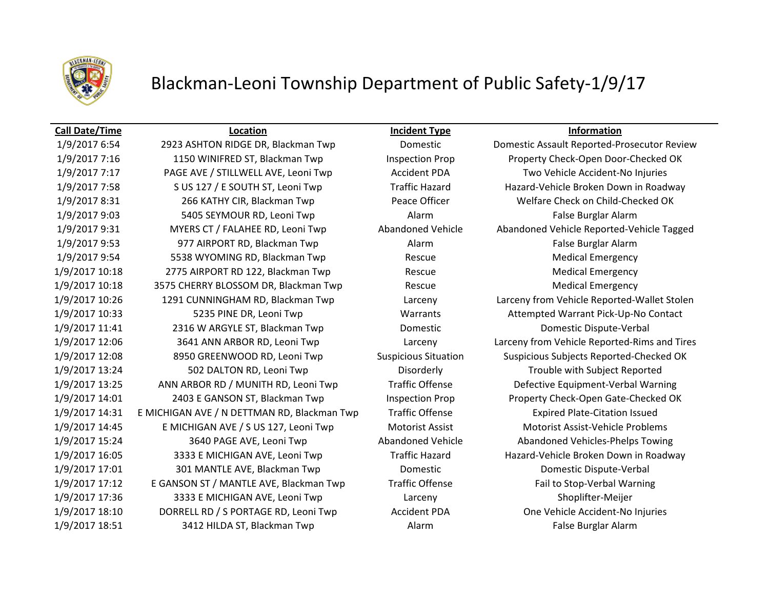

# Blackman-Leoni Township Department of Public Safety-1/9/17

## **Call Date/Time Location Incident Type Information**

1/9/2017 7:16 1150 WINIFRED ST, Blackman Twp Inspection Prop Property Check-Open Door-Checked OK 1/9/2017 7:17 PAGE AVE / STILLWELL AVE, Leoni Twp Accident PDA Two Vehicle Accident-No Injuries 1/9/2017 7:58 S US 127 / E SOUTH ST, Leoni Twp Traffic Hazard Hazard-Vehicle Broken Down in Roadway 1/9/2017 8:31 266 KATHY CIR, Blackman Twp Peace Officer Welfare Check on Child-Checked OK 1/9/2017 9:03 5405 SEYMOUR RD, Leoni Twp Alarm Alarm False Burglar Alarm 1/9/2017 9:31 MYERS CT / FALAHEE RD, Leoni Twp Abandoned Vehicle Abandoned Vehicle Reported-Vehicle Tagged 1/9/2017 9:53 977 AIRPORT RD, Blackman Twp Alarm Alarm False Burglar Alarm 1/9/2017 9:54 5538 WYOMING RD, Blackman Twp Rescue Medical Emergency 1/9/2017 10:18 2775 AIRPORT RD 122, Blackman Twp Rescue Rescue Medical Emergency 1/9/2017 10:18 3575 CHERRY BLOSSOM DR, Blackman Twp Rescue Rescue Medical Emergency 1/9/2017 10:26 1291 CUNNINGHAM RD, Blackman Twp Larceny Larceny from Vehicle Reported-Wallet Stolen 1/9/2017 10:33 5235 PINE DR, Leoni Twp Warrants Attempted Warrant Pick-Up-No Contact 1/9/2017 11:41 2316 W ARGYLE ST, Blackman Twp Domestic Domestic Dispute-Verbal 1/9/2017 12:06 3641 ANN ARBOR RD, Leoni Twp Larceny Larceny from Vehicle Reported-Rims and Tires 1/9/2017 12:08 8950 GREENWOOD RD, Leoni Twp Suspicious Situation Suspicious Subjects Reported-Checked OK 1/9/2017 13:24 502 DALTON RD, Leoni Twp Disorderly Trouble with Subject Reported 1/9/2017 13:25 ANN ARBOR RD / MUNITH RD, Leoni Twp Traffic Offense Defective Equipment-Verbal Warning 1/9/2017 14:01 2403 E GANSON ST, Blackman Twp Inspection Prop Property Check-Open Gate-Checked OK 1/9/2017 14:31 E MICHIGAN AVE / N DETTMAN RD, Blackman Twp Traffic Offense Expired Plate-Citation Issued 1/9/2017 14:45 E MICHIGAN AVE / S US 127, Leoni Twp Motorist Assist Motorist Assist-Vehicle Problems 1/9/2017 15:24 3640 PAGE AVE, Leoni Twp Abandoned Vehicle Abandoned Vehicles-Phelps Towing 1/9/2017 16:05 3333 E MICHIGAN AVE, Leoni Twp Traffic Hazard Hazard-Vehicle Broken Down in Roadway 1/9/2017 17:01 301 MANTLE AVE, Blackman Twp Domestic Domestic Dispute-Verbal 1/9/2017 17:12 E GANSON ST / MANTLE AVE, Blackman Twp Traffic Offense Fail to Stop-Verbal Warning 1/9/2017 17:36 3333 E MICHIGAN AVE, Leoni Twp Larceny Larceny Shoplifter-Meijer 1/9/2017 18:10 DORRELL RD / S PORTAGE RD, Leoni Twp Accident PDA One Vehicle Accident-No Injuries 1/9/2017 18:51 18:51 3412 HILDA ST, Blackman Twp **Alarm Alarm False Burglar Alarm** False Burglar Alarm

1/9/2017 6:54 2923 ASHTON RIDGE DR, Blackman Twp Domestic Domestic Assault Reported-Prosecutor Review